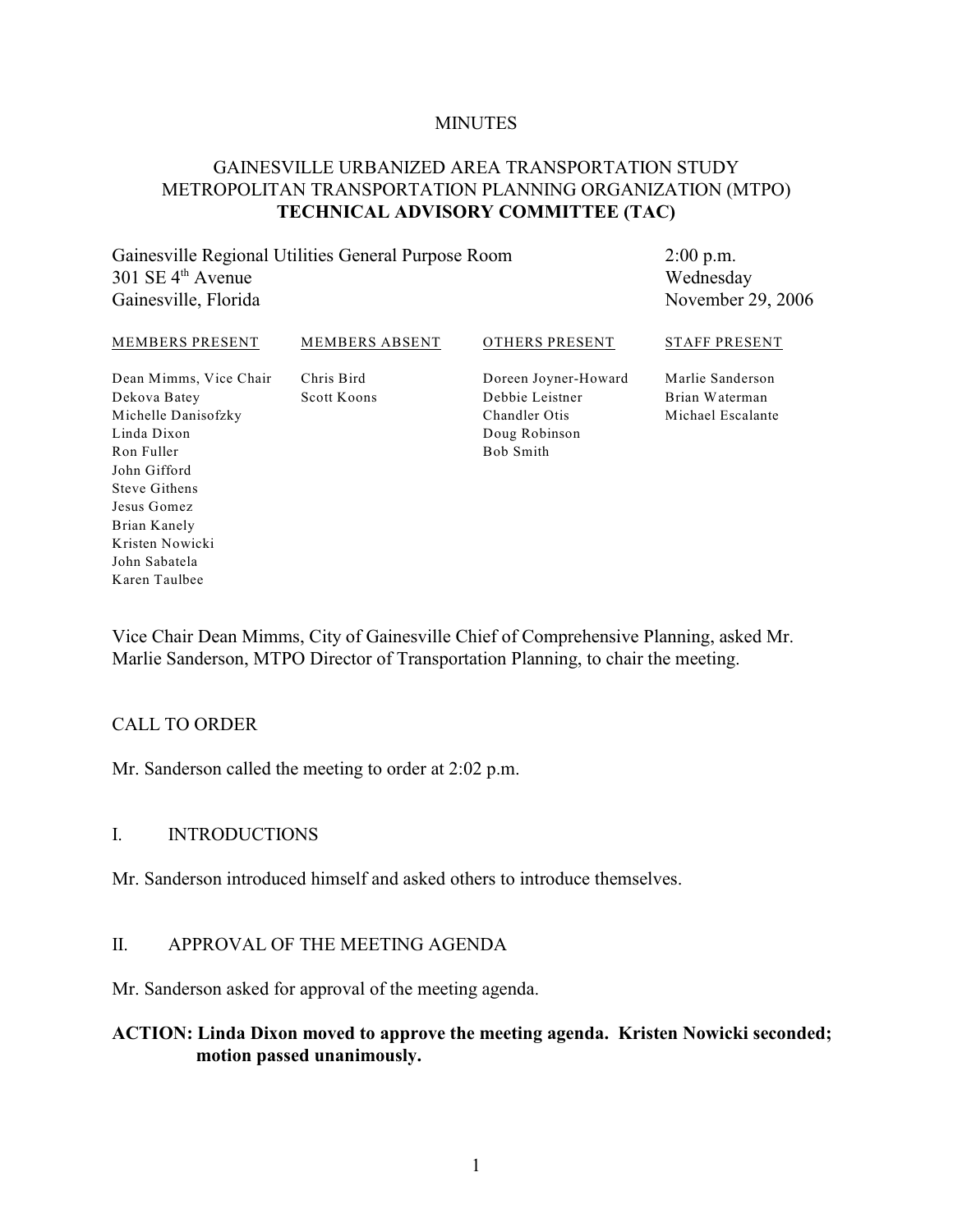#### **MINUTES**

## GAINESVILLE URBANIZED AREA TRANSPORTATION STUDY METROPOLITAN TRANSPORTATION PLANNING ORGANIZATION (MTPO) **TECHNICAL ADVISORY COMMITTEE (TAC)**

Gainesville Regional Utilities General Purpose Room  $301$  SE  $4<sup>th</sup>$  Avenue Gainesville, Florida

2:00 p.m. Wednesday November 29, 2006

#### MEMBERS PRESENT Dean Mimms, Vice Chair Dekova Batey Michelle Danisofzky Linda Dixon Ron Fuller John Gifford Steve Githens Jesus Gomez Brian Kanely MEMBERS ABSENT Chris Bird Scott Koons OTHERS PRESENT Doreen Joyner-Howard Debbie Leistner Chandler Otis Doug Robinson Bob Smith STAFF PRESENT Marlie Sanderson Brian Waterman Michael Escalante

Vice Chair Dean Mimms, City of Gainesville Chief of Comprehensive Planning, asked Mr. Marlie Sanderson, MTPO Director of Transportation Planning, to chair the meeting.

#### CALL TO ORDER

Kristen Nowicki John Sabatela Karen Taulbee

Mr. Sanderson called the meeting to order at 2:02 p.m.

#### I. INTRODUCTIONS

Mr. Sanderson introduced himself and asked others to introduce themselves.

#### II. APPROVAL OF THE MEETING AGENDA

Mr. Sanderson asked for approval of the meeting agenda.

## **ACTION: Linda Dixon moved to approve the meeting agenda. Kristen Nowicki seconded; motion passed unanimously.**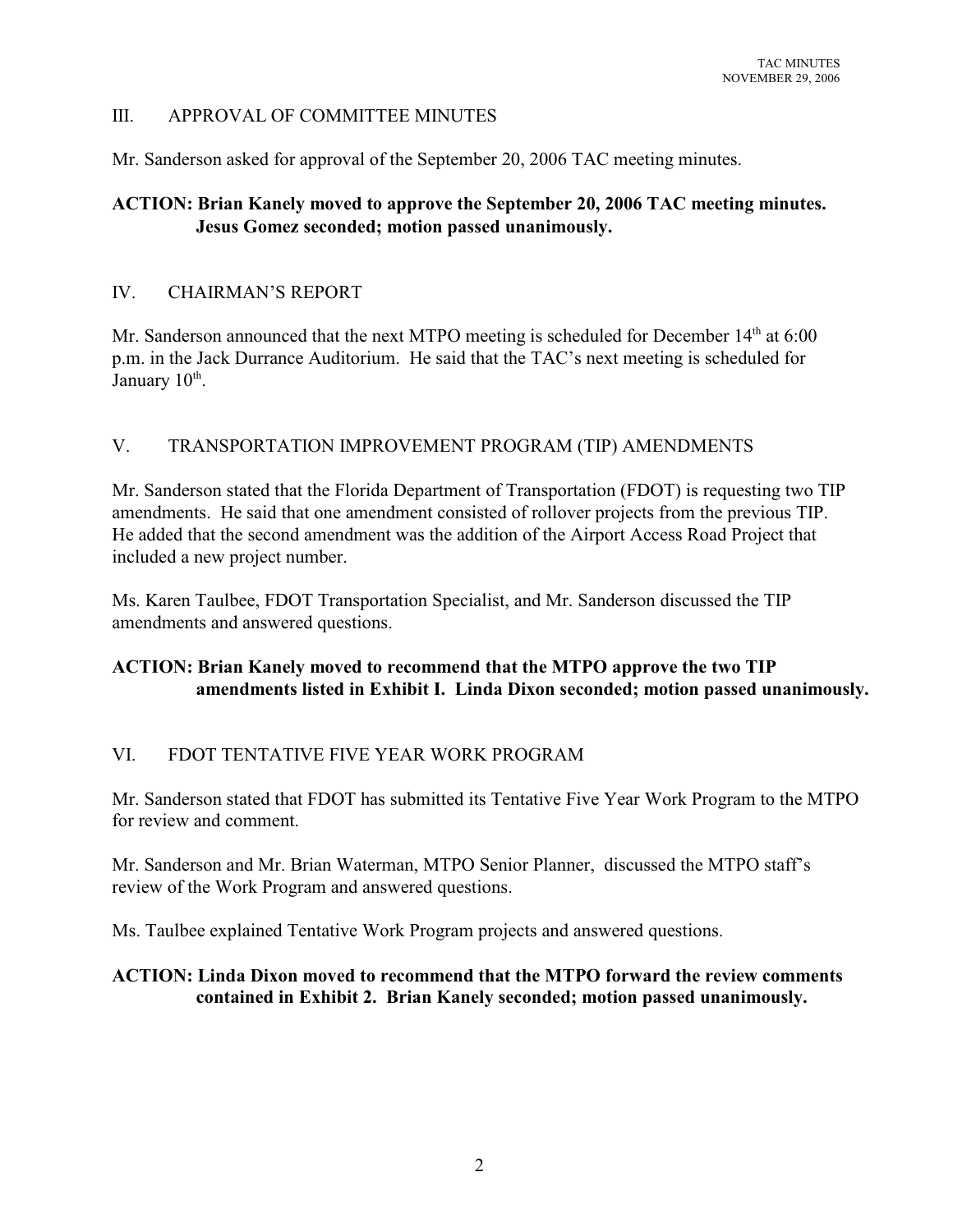## III. APPROVAL OF COMMITTEE MINUTES

Mr. Sanderson asked for approval of the September 20, 2006 TAC meeting minutes.

# **ACTION: Brian Kanely moved to approve the September 20, 2006 TAC meeting minutes. Jesus Gomez seconded; motion passed unanimously.**

## IV. CHAIRMAN'S REPORT

Mr. Sanderson announced that the next MTPO meeting is scheduled for December  $14<sup>th</sup>$  at 6:00 p.m. in the Jack Durrance Auditorium. He said that the TAC's next meeting is scheduled for January 10<sup>th</sup>.

## V. TRANSPORTATION IMPROVEMENT PROGRAM (TIP) AMENDMENTS

Mr. Sanderson stated that the Florida Department of Transportation (FDOT) is requesting two TIP amendments. He said that one amendment consisted of rollover projects from the previous TIP. He added that the second amendment was the addition of the Airport Access Road Project that included a new project number.

Ms. Karen Taulbee, FDOT Transportation Specialist, and Mr. Sanderson discussed the TIP amendments and answered questions.

# **ACTION: Brian Kanely moved to recommend that the MTPO approve the two TIP amendments listed in Exhibit I. Linda Dixon seconded; motion passed unanimously.**

## VI. FDOT TENTATIVE FIVE YEAR WORK PROGRAM

Mr. Sanderson stated that FDOT has submitted its Tentative Five Year Work Program to the MTPO for review and comment.

Mr. Sanderson and Mr. Brian Waterman, MTPO Senior Planner, discussed the MTPO staff's review of the Work Program and answered questions.

Ms. Taulbee explained Tentative Work Program projects and answered questions.

## **ACTION: Linda Dixon moved to recommend that the MTPO forward the review comments contained in Exhibit 2. Brian Kanely seconded; motion passed unanimously.**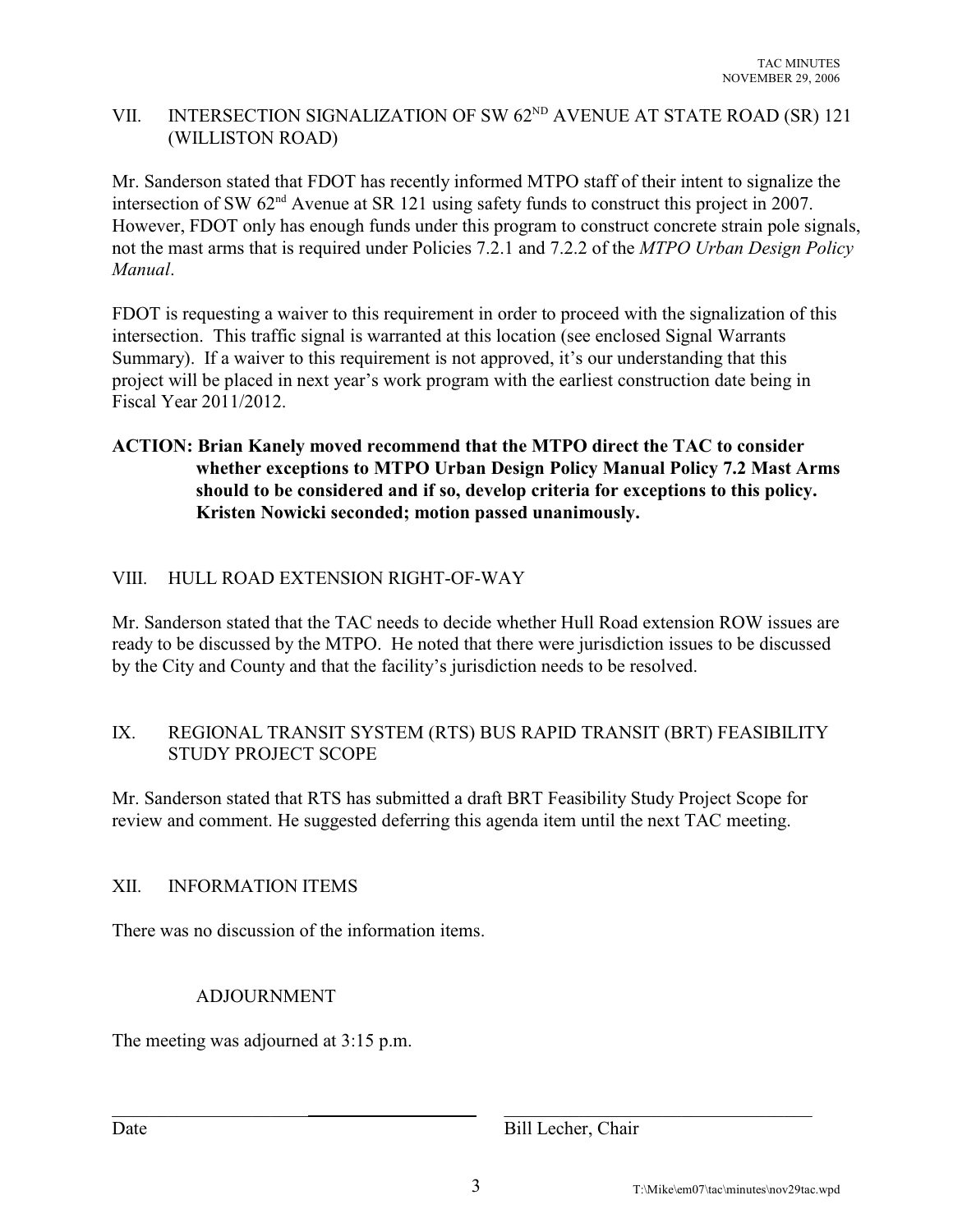# VII. INTERSECTION SIGNALIZATION OF SW  $62<sup>ND</sup>$  AVENUE AT STATE ROAD (SR) 121 (WILLISTON ROAD)

Mr. Sanderson stated that FDOT has recently informed MTPO staff of their intent to signalize the intersection of SW  $62<sup>nd</sup>$  Avenue at SR 121 using safety funds to construct this project in 2007. However, FDOT only has enough funds under this program to construct concrete strain pole signals, not the mast arms that is required under Policies 7.2.1 and 7.2.2 of the *MTPO Urban Design Policy Manual*.

FDOT is requesting a waiver to this requirement in order to proceed with the signalization of this intersection. This traffic signal is warranted at this location (see enclosed Signal Warrants Summary). If a waiver to this requirement is not approved, it's our understanding that this project will be placed in next year's work program with the earliest construction date being in Fiscal Year 2011/2012.

# **ACTION: Brian Kanely moved recommend that the MTPO direct the TAC to consider whether exceptions to MTPO Urban Design Policy Manual Policy 7.2 Mast Arms should to be considered and if so, develop criteria for exceptions to this policy. Kristen Nowicki seconded; motion passed unanimously.**

# VIII. HULL ROAD EXTENSION RIGHT-OF-WAY

Mr. Sanderson stated that the TAC needs to decide whether Hull Road extension ROW issues are ready to be discussed by the MTPO. He noted that there were jurisdiction issues to be discussed by the City and County and that the facility's jurisdiction needs to be resolved.

## IX. REGIONAL TRANSIT SYSTEM (RTS) BUS RAPID TRANSIT (BRT) FEASIBILITY STUDY PROJECT SCOPE

Mr. Sanderson stated that RTS has submitted a draft BRT Feasibility Study Project Scope for review and comment. He suggested deferring this agenda item until the next TAC meeting.

## XII. INFORMATION ITEMS

There was no discussion of the information items.

## ADJOURNMENT

The meeting was adjourned at 3:15 p.m.

Date Bill Lecher, Chair

 $\_$  ,  $\_$  ,  $\_$  ,  $\_$  ,  $\_$  ,  $\_$  ,  $\_$  ,  $\_$  ,  $\_$  ,  $\_$  ,  $\_$  ,  $\_$  ,  $\_$  ,  $\_$  ,  $\_$  ,  $\_$  ,  $\_$  ,  $\_$  ,  $\_$  ,  $\_$  ,  $\_$  ,  $\_$  ,  $\_$  ,  $\_$  ,  $\_$  ,  $\_$  ,  $\_$  ,  $\_$  ,  $\_$  ,  $\_$  ,  $\_$  ,  $\_$  ,  $\_$  ,  $\_$  ,  $\_$  ,  $\_$  ,  $\_$  ,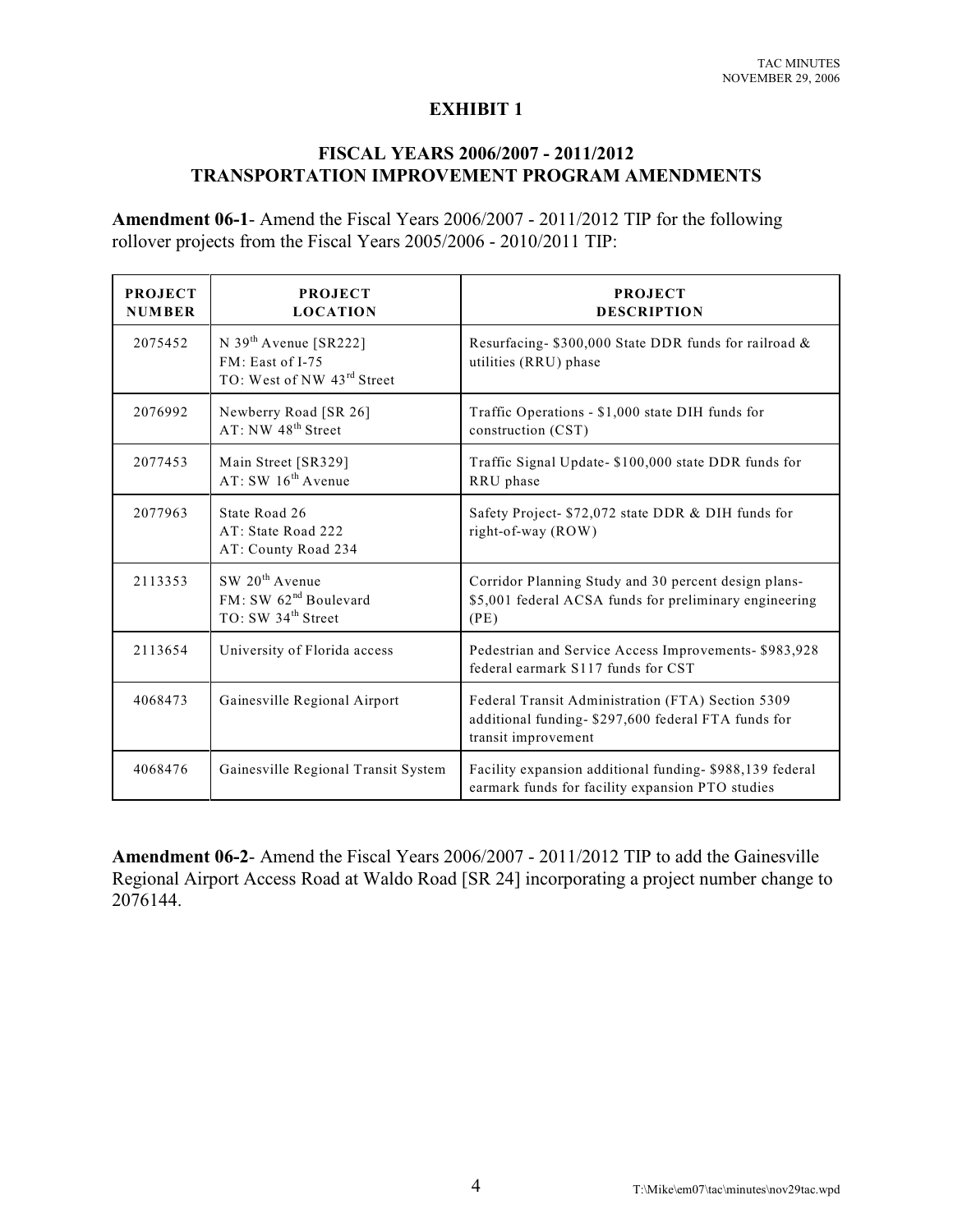## **EXHIBIT 1**

# **FISCAL YEARS 2006/2007 - 2011/2012 TRANSPORTATION IMPROVEMENT PROGRAM AMENDMENTS**

**Amendment 06-1**- Amend the Fiscal Years 2006/2007 - 2011/2012 TIP for the following rollover projects from the Fiscal Years 2005/2006 - 2010/2011 TIP:

| <b>PROJECT</b><br><b>NUMBER</b> | <b>PROJECT</b><br><b>LOCATION</b>                                                                 | <b>PROJECT</b><br><b>DESCRIPTION</b>                                                                                            |
|---------------------------------|---------------------------------------------------------------------------------------------------|---------------------------------------------------------------------------------------------------------------------------------|
| 2075452                         | N 39 <sup>th</sup> Avenue [SR222]<br>FM: East of I-75<br>TO: West of NW 43rd Street               | Resurfacing-\$300,000 State DDR funds for railroad &<br>utilities (RRU) phase                                                   |
| 2076992                         | Newberry Road [SR 26]<br>AT: NW 48 <sup>th</sup> Street                                           | Traffic Operations - \$1,000 state DIH funds for<br>construction (CST)                                                          |
| 2077453                         | Main Street [SR329]<br>AT: SW 16 <sup>th</sup> Avenue                                             | Traffic Signal Update- \$100,000 state DDR funds for<br>RRU phase                                                               |
| 2077963                         | State Road 26<br>AT: State Road 222<br>AT: County Road 234                                        | Safety Project- \$72,072 state DDR & DIH funds for<br>right-of-way (ROW)                                                        |
| 2113353                         | SW 20 <sup>th</sup> Avenue<br>FM: SW 62 <sup>nd</sup> Boulevard<br>TO: SW 34 <sup>th</sup> Street | Corridor Planning Study and 30 percent design plans-<br>\$5,001 federal ACSA funds for preliminary engineering<br>(PE)          |
| 2113654                         | University of Florida access                                                                      | Pedestrian and Service Access Improvements- \$983,928<br>federal earmark S117 funds for CST                                     |
| 4068473                         | Gainesville Regional Airport                                                                      | Federal Transit Administration (FTA) Section 5309<br>additional funding- \$297,600 federal FTA funds for<br>transit improvement |
| 4068476                         | Gainesville Regional Transit System                                                               | Facility expansion additional funding-\$988,139 federal<br>earmark funds for facility expansion PTO studies                     |

**Amendment 06-2**- Amend the Fiscal Years 2006/2007 - 2011/2012 TIP to add the Gainesville Regional Airport Access Road at Waldo Road [SR 24] incorporating a project number change to 2076144.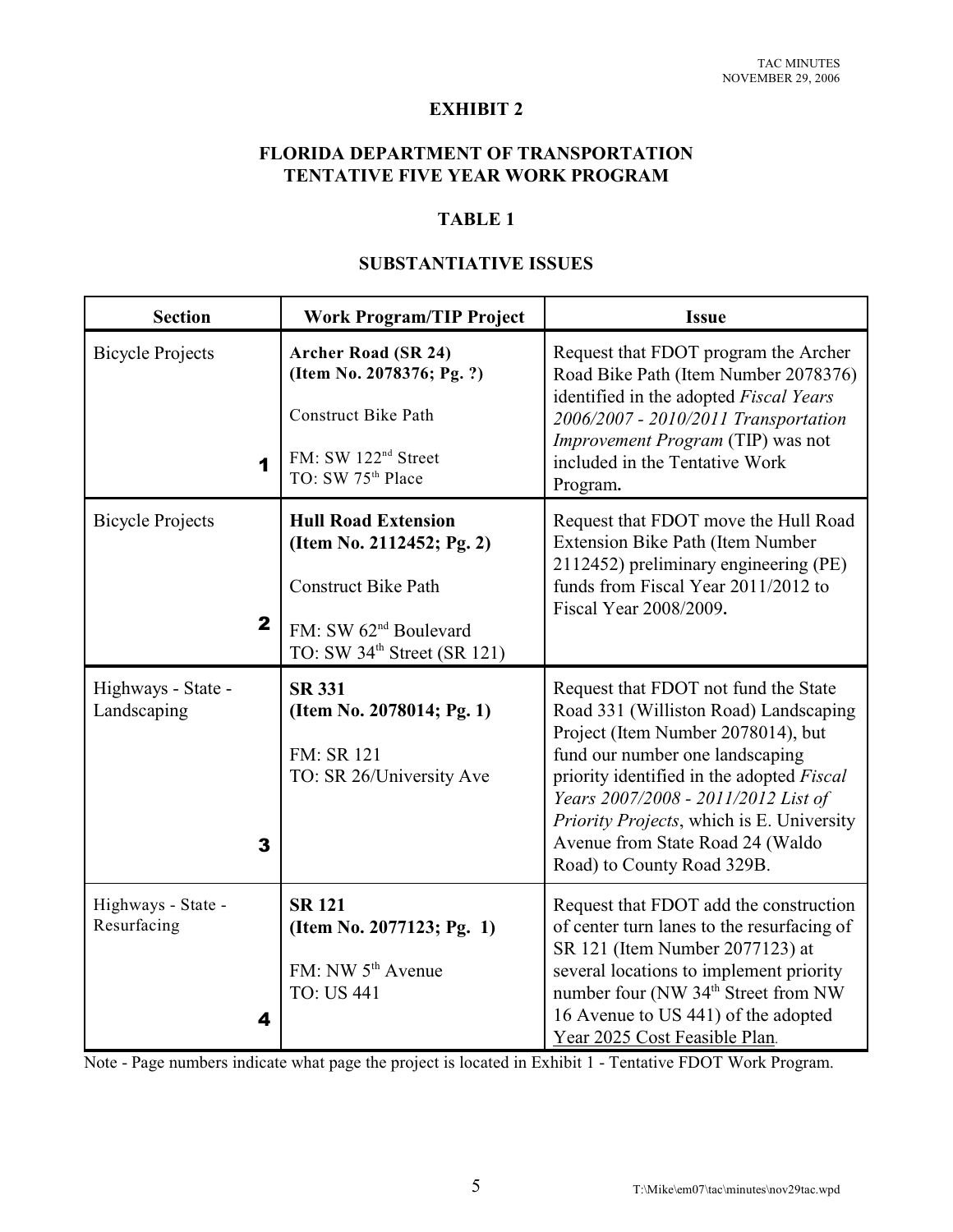#### **EXHIBIT 2**

## **FLORIDA DEPARTMENT OF TRANSPORTATION TENTATIVE FIVE YEAR WORK PROGRAM**

## **TABLE 1**

# **SUBSTANTIATIVE ISSUES**

| <b>Section</b>                          | <b>Work Program/TIP Project</b>                                                                                                                                       | <b>Issue</b>                                                                                                                                                                                                                                                                                                                                              |
|-----------------------------------------|-----------------------------------------------------------------------------------------------------------------------------------------------------------------------|-----------------------------------------------------------------------------------------------------------------------------------------------------------------------------------------------------------------------------------------------------------------------------------------------------------------------------------------------------------|
| <b>Bicycle Projects</b><br>1            | <b>Archer Road (SR 24)</b><br>(Item No. 2078376; Pg. ?)<br><b>Construct Bike Path</b><br>FM: SW 122 <sup>nd</sup> Street<br>TO: SW 75 <sup>th</sup> Place             | Request that FDOT program the Archer<br>Road Bike Path (Item Number 2078376)<br>identified in the adopted Fiscal Years<br>2006/2007 - 2010/2011 Transportation<br>Improvement Program (TIP) was not<br>included in the Tentative Work<br>Program.                                                                                                         |
| <b>Bicycle Projects</b><br>$\mathbf{2}$ | <b>Hull Road Extension</b><br>(Item No. 2112452; Pg. 2)<br><b>Construct Bike Path</b><br>FM: SW 62 <sup>nd</sup> Boulevard<br>TO: SW 34 <sup>th</sup> Street (SR 121) | Request that FDOT move the Hull Road<br>Extension Bike Path (Item Number<br>2112452) preliminary engineering (PE)<br>funds from Fiscal Year 2011/2012 to<br>Fiscal Year 2008/2009.                                                                                                                                                                        |
| Highways - State -<br>Landscaping<br>3  | <b>SR 331</b><br>(Item No. 2078014; Pg. 1)<br>FM: SR 121<br>TO: SR 26/University Ave                                                                                  | Request that FDOT not fund the State<br>Road 331 (Williston Road) Landscaping<br>Project (Item Number 2078014), but<br>fund our number one landscaping<br>priority identified in the adopted Fiscal<br>Years 2007/2008 - 2011/2012 List of<br>Priority Projects, which is E. University<br>Avenue from State Road 24 (Waldo<br>Road) to County Road 329B. |
| Highways - State -<br>Resurfacing<br>4  | <b>SR 121</b><br>(Item No. 2077123; Pg. 1)<br>FM: NW 5 <sup>th</sup> Avenue<br><b>TO: US 441</b>                                                                      | Request that FDOT add the construction<br>of center turn lanes to the resurfacing of<br>SR 121 (Item Number 2077123) at<br>several locations to implement priority<br>number four (NW 34 <sup>th</sup> Street from NW<br>16 Avenue to US 441) of the adopted<br>Year 2025 Cost Feasible Plan.                                                             |

Note - Page numbers indicate what page the project is located in Exhibit 1 - Tentative FDOT Work Program.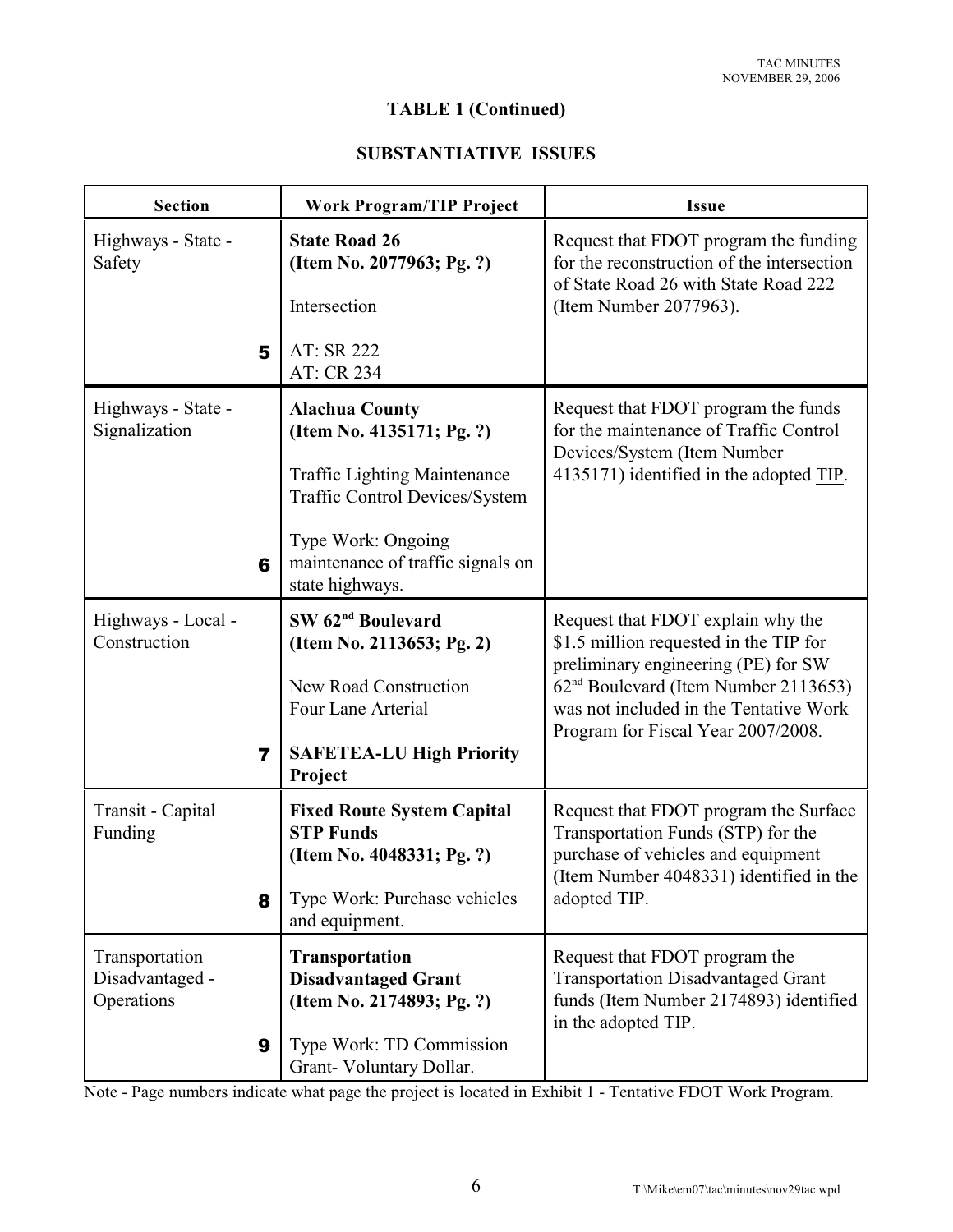# **TABLE 1 (Continued)**

## **SUBSTANTIATIVE ISSUES**

| <b>Section</b>                                       | <b>Work Program/TIP Project</b>                                                                                                                                                                                  | <b>Issue</b>                                                                                                                                                                                                                                           |  |
|------------------------------------------------------|------------------------------------------------------------------------------------------------------------------------------------------------------------------------------------------------------------------|--------------------------------------------------------------------------------------------------------------------------------------------------------------------------------------------------------------------------------------------------------|--|
| Highways - State -<br>Safety                         | <b>State Road 26</b><br>(Item No. 2077963; Pg. ?)<br>Intersection                                                                                                                                                | Request that FDOT program the funding<br>for the reconstruction of the intersection<br>of State Road 26 with State Road 222<br>(Item Number 2077963).                                                                                                  |  |
| 5                                                    | AT: SR 222<br>AT: CR 234                                                                                                                                                                                         |                                                                                                                                                                                                                                                        |  |
| Highways - State -<br>Signalization<br>6             | <b>Alachua County</b><br>(Item No. 4135171; Pg. ?)<br><b>Traffic Lighting Maintenance</b><br><b>Traffic Control Devices/System</b><br>Type Work: Ongoing<br>maintenance of traffic signals on<br>state highways. | Request that FDOT program the funds<br>for the maintenance of Traffic Control<br>Devices/System (Item Number<br>4135171) identified in the adopted TIP.                                                                                                |  |
| Highways - Local -<br>Construction<br>$\overline{7}$ | SW 62 <sup>nd</sup> Boulevard<br>(Item No. 2113653; Pg. 2)<br>New Road Construction<br>Four Lane Arterial<br><b>SAFETEA-LU High Priority</b><br>Project                                                          | Request that FDOT explain why the<br>\$1.5 million requested in the TIP for<br>preliminary engineering (PE) for SW<br>62 <sup>nd</sup> Boulevard (Item Number 2113653)<br>was not included in the Tentative Work<br>Program for Fiscal Year 2007/2008. |  |
| Transit - Capital<br>Funding<br>8                    | <b>Fixed Route System Capital</b><br><b>STP Funds</b><br>(Item No. 4048331; Pg. ?)<br>Type Work: Purchase vehicles<br>and equipment.                                                                             | Request that FDOT program the Surface<br>Transportation Funds (STP) for the<br>purchase of vehicles and equipment<br>(Item Number 4048331) identified in the<br>adopted TIP.                                                                           |  |
| Transportation<br>Disadvantaged -<br>Operations<br>9 | <b>Transportation</b><br><b>Disadvantaged Grant</b><br>(Item No. 2174893; Pg. ?)<br>Type Work: TD Commission<br>Grant-Voluntary Dollar.                                                                          | Request that FDOT program the<br><b>Transportation Disadvantaged Grant</b><br>funds (Item Number 2174893) identified<br>in the adopted TIP.                                                                                                            |  |

Note - Page numbers indicate what page the project is located in Exhibit 1 - Tentative FDOT Work Program.